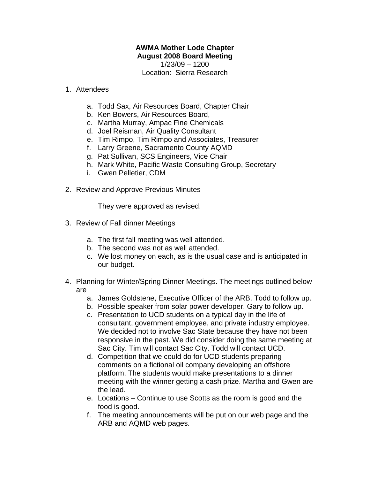## **AWMA Mother Lode Chapter August 2008 Board Meeting**

1/23/09 – 1200 Location: Sierra Research

## 1. Attendees

- a. Todd Sax, Air Resources Board, Chapter Chair
- b. Ken Bowers, Air Resources Board,
- c. Martha Murray, Ampac Fine Chemicals
- d. Joel Reisman, Air Quality Consultant
- e. Tim Rimpo, Tim Rimpo and Associates, Treasurer
- f. Larry Greene, Sacramento County AQMD
- g. Pat Sullivan, SCS Engineers, Vice Chair
- h. Mark White, Pacific Waste Consulting Group, Secretary
- i. Gwen Pelletier, CDM
- 2. Review and Approve Previous Minutes

They were approved as revised.

- 3. Review of Fall dinner Meetings
	- a. The first fall meeting was well attended.
	- b. The second was not as well attended.
	- c. We lost money on each, as is the usual case and is anticipated in our budget.
- 4. Planning for Winter/Spring Dinner Meetings. The meetings outlined below are
	- a. James Goldstene, Executive Officer of the ARB. Todd to follow up.
	- b. Possible speaker from solar power developer. Gary to follow up.
	- c. Presentation to UCD students on a typical day in the life of consultant, government employee, and private industry employee. We decided not to involve Sac State because they have not been responsive in the past. We did consider doing the same meeting at Sac City. Tim will contact Sac City. Todd will contact UCD.
	- d. Competition that we could do for UCD students preparing comments on a fictional oil company developing an offshore platform. The students would make presentations to a dinner meeting with the winner getting a cash prize. Martha and Gwen are the lead.
	- e. Locations Continue to use Scotts as the room is good and the food is good.
	- f. The meeting announcements will be put on our web page and the ARB and AQMD web pages.